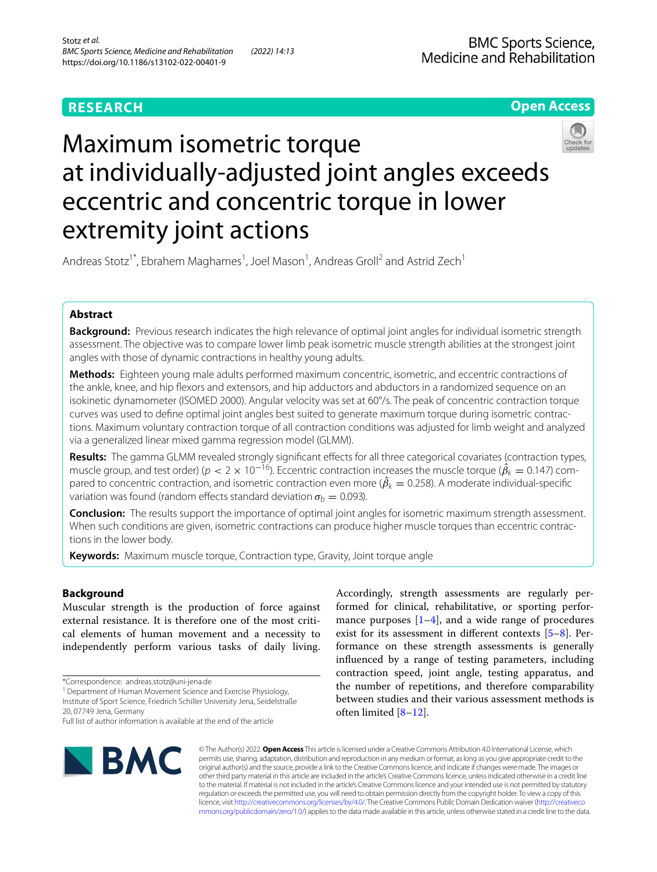# **RESEARCH**

**Open Access**

# Maximum isometric torque at individually-adjusted joint angles exceeds eccentric and concentric torque in lower extremity joint actions



## Andreas Stotz<sup>1\*</sup>, Ebrahem Maghames<sup>1</sup>, Joel Mason<sup>1</sup>, Andreas Groll<sup>2</sup> and Astrid Zech<sup>1</sup>

## **Abstract**

**Background:** Previous research indicates the high relevance of optimal joint angles for individual isometric strength assessment. The objective was to compare lower limb peak isometric muscle strength abilities at the strongest joint angles with those of dynamic contractions in healthy young adults.

**Methods:** Eighteen young male adults performed maximum concentric, isometric, and eccentric contractions of the ankle, knee, and hip fexors and extensors, and hip adductors and abductors in a randomized sequence on an isokinetic dynamometer (ISOMED 2000). Angular velocity was set at 60°/s. The peak of concentric contraction torque curves was used to defne optimal joint angles best suited to generate maximum torque during isometric contractions. Maximum voluntary contraction torque of all contraction conditions was adjusted for limb weight and analyzed via a generalized linear mixed gamma regression model (GLMM).

Results: The gamma GLMM revealed strongly significant effects for all three categorical covariates (contraction types, muscle group, and test order) ( $p < 2 \times 10^{-16}$ ). Eccentric contraction increases the muscle torque ( $\hat{\beta}_k = 0.147$ ) compared to concentric contraction, and isometric contraction even more ( $\hat{\beta}_k = 0.258$ ). A moderate individual-specific variation was found (random effects standard deviation  $\sigma_b = 0.093$ ).

**Conclusion:** The results support the importance of optimal joint angles for isometric maximum strength assessment. When such conditions are given, isometric contractions can produce higher muscle torques than eccentric contractions in the lower body.

**Keywords:** Maximum muscle torque, Contraction type, Gravity, Joint torque angle

## **Background**

Muscular strength is the production of force against external resistance. It is therefore one of the most critical elements of human movement and a necessity to independently perform various tasks of daily living.

<sup>1</sup> Department of Human Movement Science and Exercise Physiology, Institute of Sport Science, Friedrich Schiller University Jena, Seidelstraße

20, 07749 Jena, Germany

Full list of author information is available at the end of the article



Accordingly, strength assessments are regularly performed for clinical, rehabilitative, or sporting performance purposes  $[1-4]$  $[1-4]$  $[1-4]$ , and a wide range of procedures exist for its assessment in diferent contexts [[5–](#page-6-2)[8\]](#page-6-3). Performance on these strength assessments is generally infuenced by a range of testing parameters, including contraction speed, joint angle, testing apparatus, and the number of repetitions, and therefore comparability between studies and their various assessment methods is often limited [[8–](#page-6-3)[12\]](#page-6-4).

© The Author(s) 2022. **Open Access** This article is licensed under a Creative Commons Attribution 4.0 International License, which permits use, sharing, adaptation, distribution and reproduction in any medium or format, as long as you give appropriate credit to the original author(s) and the source, provide a link to the Creative Commons licence, and indicate if changes were made. The images or other third party material in this article are included in the article's Creative Commons licence, unless indicated otherwise in a credit line to the material. If material is not included in the article's Creative Commons licence and your intended use is not permitted by statutory regulation or exceeds the permitted use, you will need to obtain permission directly from the copyright holder. To view a copy of this licence, visit [http://creativecommons.org/licenses/by/4.0/.](http://creativecommons.org/licenses/by/4.0/) The Creative Commons Public Domain Dedication waiver ([http://creativeco](http://creativecommons.org/publicdomain/zero/1.0/) [mmons.org/publicdomain/zero/1.0/](http://creativecommons.org/publicdomain/zero/1.0/)) applies to the data made available in this article, unless otherwise stated in a credit line to the data.

<sup>\*</sup>Correspondence: andreas.stotz@uni-jena.de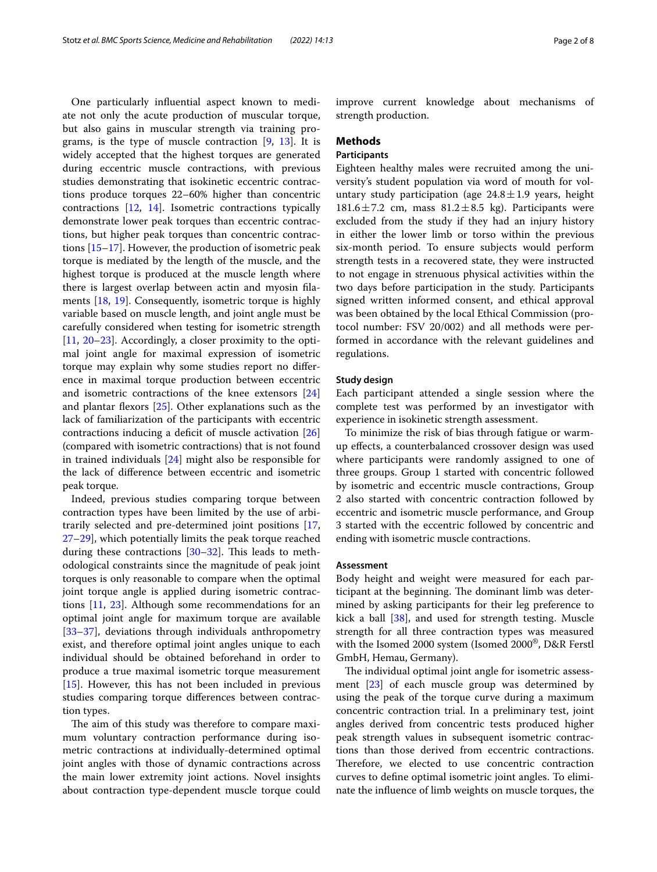One particularly infuential aspect known to mediate not only the acute production of muscular torque, but also gains in muscular strength via training programs, is the type of muscle contraction [\[9](#page-6-5), [13](#page-6-6)]. It is widely accepted that the highest torques are generated during eccentric muscle contractions, with previous studies demonstrating that isokinetic eccentric contractions produce torques 22–60% higher than concentric contractions [[12](#page-6-4), [14\]](#page-6-7). Isometric contractions typically demonstrate lower peak torques than eccentric contractions, but higher peak torques than concentric contractions [\[15](#page-6-8)[–17](#page-6-9)]. However, the production of isometric peak torque is mediated by the length of the muscle, and the highest torque is produced at the muscle length where there is largest overlap between actin and myosin flaments [\[18](#page-6-10), [19\]](#page-6-11). Consequently, isometric torque is highly variable based on muscle length, and joint angle must be carefully considered when testing for isometric strength [[11,](#page-6-12) [20](#page-6-13)[–23\]](#page-6-14). Accordingly, a closer proximity to the optimal joint angle for maximal expression of isometric torque may explain why some studies report no diference in maximal torque production between eccentric and isometric contractions of the knee extensors [[24](#page-6-15)] and plantar fexors [[25\]](#page-6-16). Other explanations such as the lack of familiarization of the participants with eccentric contractions inducing a deficit of muscle activation [[26](#page-6-17)] (compared with isometric contractions) that is not found in trained individuals [\[24](#page-6-15)] might also be responsible for the lack of diference between eccentric and isometric peak torque.

Indeed, previous studies comparing torque between contraction types have been limited by the use of arbitrarily selected and pre-determined joint positions [\[17](#page-6-9), [27–](#page-6-18)[29](#page-6-19)], which potentially limits the peak torque reached during these contractions  $[30-32]$  $[30-32]$  $[30-32]$ . This leads to methodological constraints since the magnitude of peak joint torques is only reasonable to compare when the optimal joint torque angle is applied during isometric contractions [[11,](#page-6-12) [23\]](#page-6-14). Although some recommendations for an optimal joint angle for maximum torque are available [[33–](#page-6-22)[37](#page-7-0)], deviations through individuals anthropometry exist, and therefore optimal joint angles unique to each individual should be obtained beforehand in order to produce a true maximal isometric torque measurement [[15\]](#page-6-8). However, this has not been included in previous studies comparing torque diferences between contraction types.

The aim of this study was therefore to compare maximum voluntary contraction performance during isometric contractions at individually-determined optimal joint angles with those of dynamic contractions across the main lower extremity joint actions. Novel insights about contraction type-dependent muscle torque could improve current knowledge about mechanisms of strength production.

## **Methods**

## **Participants**

Eighteen healthy males were recruited among the university's student population via word of mouth for voluntary study participation (age  $24.8 \pm 1.9$  years, height 181.6 $\pm$ 7.2 cm, mass 81.2 $\pm$ 8.5 kg). Participants were excluded from the study if they had an injury history in either the lower limb or torso within the previous six-month period. To ensure subjects would perform strength tests in a recovered state, they were instructed to not engage in strenuous physical activities within the two days before participation in the study. Participants signed written informed consent, and ethical approval was been obtained by the local Ethical Commission (protocol number: FSV 20/002) and all methods were performed in accordance with the relevant guidelines and regulations.

## **Study design**

Each participant attended a single session where the complete test was performed by an investigator with experience in isokinetic strength assessment.

To minimize the risk of bias through fatigue or warmup efects, a counterbalanced crossover design was used where participants were randomly assigned to one of three groups. Group 1 started with concentric followed by isometric and eccentric muscle contractions, Group 2 also started with concentric contraction followed by eccentric and isometric muscle performance, and Group 3 started with the eccentric followed by concentric and ending with isometric muscle contractions.

## **Assessment**

Body height and weight were measured for each participant at the beginning. The dominant limb was determined by asking participants for their leg preference to kick a ball [\[38](#page-7-1)], and used for strength testing. Muscle strength for all three contraction types was measured with the Isomed 2000 system (Isomed 2000®, D&R Ferstl GmbH, Hemau, Germany).

The individual optimal joint angle for isometric assessment [[23\]](#page-6-14) of each muscle group was determined by using the peak of the torque curve during a maximum concentric contraction trial. In a preliminary test, joint angles derived from concentric tests produced higher peak strength values in subsequent isometric contractions than those derived from eccentric contractions. Therefore, we elected to use concentric contraction curves to defne optimal isometric joint angles. To eliminate the infuence of limb weights on muscle torques, the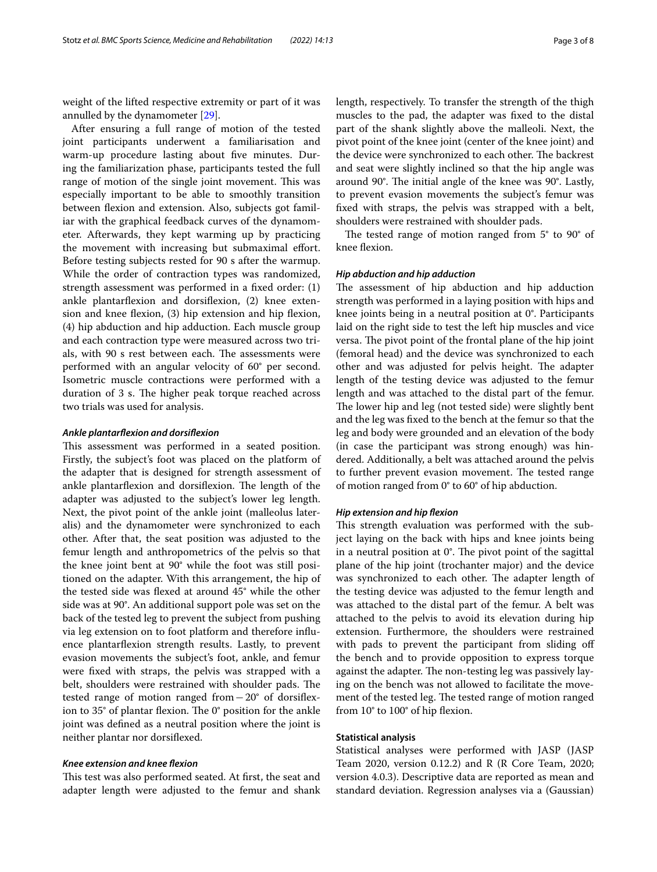weight of the lifted respective extremity or part of it was annulled by the dynamometer [[29\]](#page-6-19).

After ensuring a full range of motion of the tested joint participants underwent a familiarisation and warm-up procedure lasting about five minutes. During the familiarization phase, participants tested the full range of motion of the single joint movement. This was especially important to be able to smoothly transition between flexion and extension. Also, subjects got familiar with the graphical feedback curves of the dynamometer. Afterwards, they kept warming up by practicing the movement with increasing but submaximal effort. Before testing subjects rested for 90 s after the warmup. While the order of contraction types was randomized, strength assessment was performed in a fxed order: (1) ankle plantarfexion and dorsifexion, (2) knee extension and knee flexion, (3) hip extension and hip flexion, (4) hip abduction and hip adduction. Each muscle group and each contraction type were measured across two trials, with 90 s rest between each. The assessments were performed with an angular velocity of 60° per second. Isometric muscle contractions were performed with a duration of 3 s. The higher peak torque reached across two trials was used for analysis.

#### *Ankle plantarfexion and dorsifexion*

This assessment was performed in a seated position. Firstly, the subject's foot was placed on the platform of the adapter that is designed for strength assessment of ankle plantarflexion and dorsiflexion. The length of the adapter was adjusted to the subject's lower leg length. Next, the pivot point of the ankle joint (malleolus lateralis) and the dynamometer were synchronized to each other. After that, the seat position was adjusted to the femur length and anthropometrics of the pelvis so that the knee joint bent at 90° while the foot was still positioned on the adapter. With this arrangement, the hip of the tested side was fexed at around 45° while the other side was at 90°. An additional support pole was set on the back of the tested leg to prevent the subject from pushing via leg extension on to foot platform and therefore infuence plantarfexion strength results. Lastly, to prevent evasion movements the subject's foot, ankle, and femur were fxed with straps, the pelvis was strapped with a belt, shoulders were restrained with shoulder pads. The tested range of motion ranged from−20° of dorsifexion to  $35^{\circ}$  of plantar flexion. The  $0^{\circ}$  position for the ankle joint was defned as a neutral position where the joint is neither plantar nor dorsifexed.

#### *Knee extension and knee fexion*

This test was also performed seated. At first, the seat and adapter length were adjusted to the femur and shank length, respectively. To transfer the strength of the thigh muscles to the pad, the adapter was fxed to the distal part of the shank slightly above the malleoli. Next, the pivot point of the knee joint (center of the knee joint) and the device were synchronized to each other. The backrest and seat were slightly inclined so that the hip angle was around 90°. The initial angle of the knee was 90°. Lastly, to prevent evasion movements the subject's femur was fxed with straps, the pelvis was strapped with a belt, shoulders were restrained with shoulder pads.

The tested range of motion ranged from  $5^{\circ}$  to  $90^{\circ}$  of knee fexion.

## *Hip abduction and hip adduction*

The assessment of hip abduction and hip adduction strength was performed in a laying position with hips and knee joints being in a neutral position at 0°. Participants laid on the right side to test the left hip muscles and vice versa. The pivot point of the frontal plane of the hip joint (femoral head) and the device was synchronized to each other and was adjusted for pelvis height. The adapter length of the testing device was adjusted to the femur length and was attached to the distal part of the femur. The lower hip and leg (not tested side) were slightly bent and the leg was fxed to the bench at the femur so that the leg and body were grounded and an elevation of the body (in case the participant was strong enough) was hindered. Additionally, a belt was attached around the pelvis to further prevent evasion movement. The tested range of motion ranged from 0° to 60° of hip abduction.

## *Hip extension and hip fexion*

This strength evaluation was performed with the subject laying on the back with hips and knee joints being in a neutral position at  $0^\circ$ . The pivot point of the sagittal plane of the hip joint (trochanter major) and the device was synchronized to each other. The adapter length of the testing device was adjusted to the femur length and was attached to the distal part of the femur. A belt was attached to the pelvis to avoid its elevation during hip extension. Furthermore, the shoulders were restrained with pads to prevent the participant from sliding off the bench and to provide opposition to express torque against the adapter. The non-testing leg was passively laying on the bench was not allowed to facilitate the movement of the tested leg. The tested range of motion ranged from 10° to 100° of hip fexion.

## **Statistical analysis**

Statistical analyses were performed with JASP (JASP Team 2020, version 0.12.2) and R (R Core Team, 2020; version 4.0.3). Descriptive data are reported as mean and standard deviation. Regression analyses via a (Gaussian)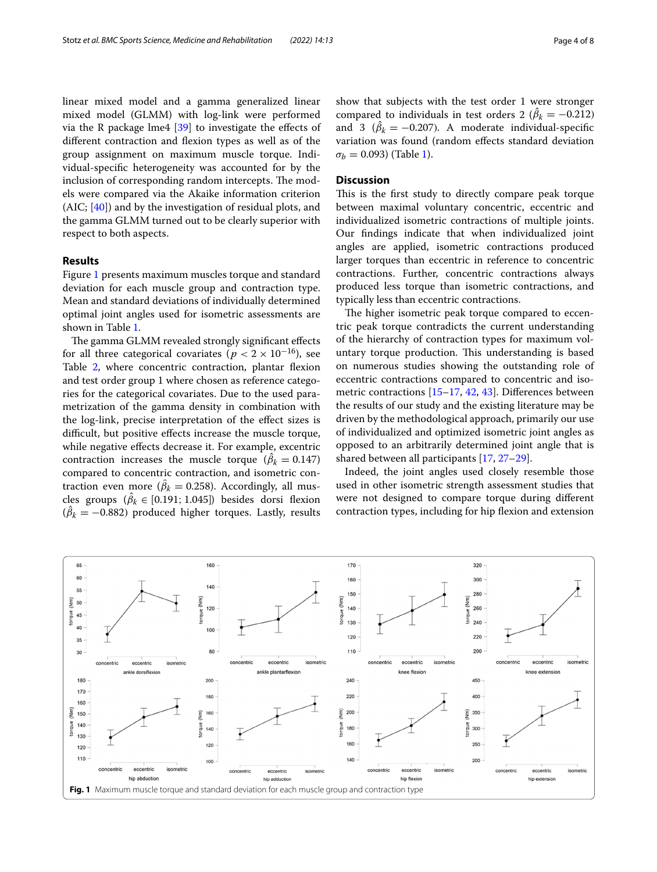linear mixed model and a gamma generalized linear mixed model (GLMM) with log-link were performed via the R package lme4  $[39]$  $[39]$  to investigate the effects of diferent contraction and fexion types as well as of the group assignment on maximum muscle torque. Individual-specifc heterogeneity was accounted for by the inclusion of corresponding random intercepts. The models were compared via the Akaike information criterion (AIC; [\[40\]](#page-7-3)) and by the investigation of residual plots, and the gamma GLMM turned out to be clearly superior with respect to both aspects.

## **Results**

Figure [1](#page-3-0) presents maximum muscles torque and standard deviation for each muscle group and contraction type. Mean and standard deviations of individually determined optimal joint angles used for isometric assessments are shown in Table [1.](#page-4-0)

The gamma GLMM revealed strongly significant effects for all three categorical covariates ( $p < 2 \times 10^{-16}$ ), see Table [2,](#page-4-1) where concentric contraction, plantar flexion and test order group 1 where chosen as reference categories for the categorical covariates. Due to the used parametrization of the gamma density in combination with the log-link, precise interpretation of the efect sizes is difficult, but positive effects increase the muscle torque, while negative efects decrease it. For example, excentric contraction increases the muscle torque  $(\hat{\beta}_k = 0.147)$ compared to concentric contraction, and isometric contraction even more ( $\hat{\beta}_k = 0.258$ ). Accordingly, all muscles groups  $(\hat{\beta}_k \in [0.191; 1.045])$  besides dorsi flexion  $(\hat{\beta}_k = -0.882)$  produced higher torques. Lastly, results

show that subjects with the test order 1 were stronger compared to individuals in test orders 2 ( $\hat{\beta}_k = -0.212$ ) and 3 ( $\hat{\beta}_k = -0.207$ ). A moderate individual-specific variation was found (random efects standard deviation  $\sigma_b = 0.093$ ) (Table [1](#page-4-0)).

## **Discussion**

This is the first study to directly compare peak torque between maximal voluntary concentric, eccentric and individualized isometric contractions of multiple joints. Our fndings indicate that when individualized joint angles are applied, isometric contractions produced larger torques than eccentric in reference to concentric contractions. Further, concentric contractions always produced less torque than isometric contractions, and typically less than eccentric contractions.

The higher isometric peak torque compared to eccentric peak torque contradicts the current understanding of the hierarchy of contraction types for maximum voluntary torque production. This understanding is based on numerous studies showing the outstanding role of eccentric contractions compared to concentric and isometric contractions [[15](#page-6-8)[–17](#page-6-9), [42](#page-7-4), [43\]](#page-7-5). Diferences between the results of our study and the existing literature may be driven by the methodological approach, primarily our use of individualized and optimized isometric joint angles as opposed to an arbitrarily determined joint angle that is shared between all participants [\[17](#page-6-9), [27](#page-6-18)[–29](#page-6-19)].

Indeed, the joint angles used closely resemble those used in other isometric strength assessment studies that were not designed to compare torque during diferent contraction types, including for hip fexion and extension

<span id="page-3-0"></span>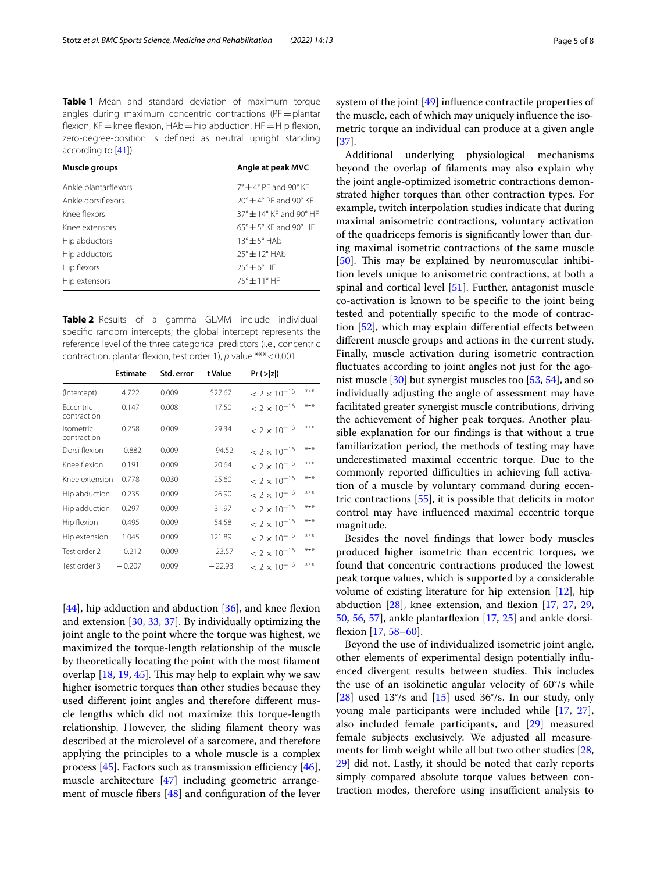<span id="page-4-0"></span>**Table 1** Mean and standard deviation of maximum torque angles during maximum concentric contractions ( $PF=plantar$ flexion,  $KF=$  knee flexion,  $HAb=$ hip abduction,  $HF=Hip$  flexion, zero-degree-position is defned as neutral upright standing according to [\[41](#page-7-6)])

| Muscle groups        | Angle at peak MVC                                |
|----------------------|--------------------------------------------------|
| Ankle plantarflexors | $7^\circ + 4^\circ$ PF and 90° KF                |
| Ankle dorsiflexors   | $20^\circ + 4^\circ$ PF and 90° KF               |
| Knee flexors         | $37^\circ$ $+$ 14 $^\circ$ KF and 90 $^\circ$ HF |
| Knee extensors       | $65^\circ \pm 5^\circ$ KF and 90° HF             |
| Hip abductors        | $13^\circ \pm 5^\circ$ HAb                       |
| Hip adductors        | $75^{\circ} + 12^{\circ}$ HAb                    |
| Hip flexors          | $25^\circ \pm 6^\circ$ HF                        |
| Hip extensors        | $75^{\circ}$ $\pm$ 11° HF                        |

<span id="page-4-1"></span>**Table 2** Results of a gamma GLMM include individualspecifc random intercepts; the global intercept represents the reference level of the three categorical predictors (i.e., concentric contraction, plantar fexion, test order 1), *p* value \*\*\*<0.001

|                                 | <b>Estimate</b> | Std. error | t Value  | $Pr (>\vert z \vert)$ |       |
|---------------------------------|-----------------|------------|----------|-----------------------|-------|
| (Intercept)                     | 4.722           | 0.009      | 527.67   | $< 2 \times 10^{-16}$ | ***   |
| Eccentric<br>contraction        | 0.147           | 0.008      | 17.50    | $< 2 \times 10^{-16}$ | ***   |
| <b>Isometric</b><br>contraction | 0.258           | 0.009      | 29.34    | $< 2 \times 10^{-16}$ | ***   |
| Dorsi flexion                   | $-0.882$        | 0.009      | $-94.52$ | $< 2 \times 10^{-16}$ | ***   |
| Knee flexion                    | 0.191           | 0.009      | 20.64    | $< 2 \times 10^{-16}$ | ***   |
| Knee extension                  | 0.778           | 0.030      | 25.60    | $< 2 \times 10^{-16}$ | ***   |
| Hip abduction                   | 0.235           | 0.009      | 26.90    | $< 2 \times 10^{-16}$ | $***$ |
| Hip adduction                   | 0.297           | 0.009      | 31.97    | $< 2 \times 10^{-16}$ | ***   |
| Hip flexion                     | 0.495           | 0.009      | 54.58    | $< 2 \times 10^{-16}$ | ***   |
| Hip extension                   | 1.045           | 0.009      | 121.89   | $< 2 \times 10^{-16}$ | ***   |
| Test order 2                    | $-0.212$        | 0.009      | $-23.57$ | $< 2 \times 10^{-16}$ | ***   |
| Test order 3                    | $-0.207$        | 0.009      | $-22.93$ | $< 2 \times 10^{-16}$ | ***   |

[[44\]](#page-7-7), hip adduction and abduction  $[36]$ , and knee flexion and extension [[30](#page-6-20), [33](#page-6-22), [37\]](#page-7-0). By individually optimizing the joint angle to the point where the torque was highest, we maximized the torque-length relationship of the muscle by theoretically locating the point with the most flament overlap  $[18, 19, 45]$  $[18, 19, 45]$  $[18, 19, 45]$  $[18, 19, 45]$  $[18, 19, 45]$  $[18, 19, 45]$ . This may help to explain why we saw higher isometric torques than other studies because they used diferent joint angles and therefore diferent muscle lengths which did not maximize this torque-length relationship. However, the sliding flament theory was described at the microlevel of a sarcomere, and therefore applying the principles to a whole muscle is a complex process  $[45]$ . Factors such as transmission efficiency  $[46]$  $[46]$ , muscle architecture [\[47\]](#page-7-10) including geometric arrangement of muscle fbers [\[48\]](#page-7-11) and confguration of the lever system of the joint [\[49\]](#page-7-12) infuence contractile properties of the muscle, each of which may uniquely infuence the isometric torque an individual can produce at a given angle [[37\]](#page-7-0).

Additional underlying physiological mechanisms beyond the overlap of flaments may also explain why the joint angle-optimized isometric contractions demonstrated higher torques than other contraction types. For example, twitch interpolation studies indicate that during maximal anisometric contractions, voluntary activation of the quadriceps femoris is signifcantly lower than during maximal isometric contractions of the same muscle [[50\]](#page-7-13). This may be explained by neuromuscular inhibition levels unique to anisometric contractions, at both a spinal and cortical level [[51\]](#page-7-14). Further, antagonist muscle co-activation is known to be specifc to the joint being tested and potentially specifc to the mode of contrac-tion [[52](#page-7-15)], which may explain differential effects between diferent muscle groups and actions in the current study. Finally, muscle activation during isometric contraction fuctuates according to joint angles not just for the agonist muscle [\[30](#page-6-20)] but synergist muscles too [\[53](#page-7-16), [54](#page-7-17)], and so individually adjusting the angle of assessment may have facilitated greater synergist muscle contributions, driving the achievement of higher peak torques. Another plausible explanation for our fndings is that without a true familiarization period, the methods of testing may have underestimated maximal eccentric torque. Due to the commonly reported difficulties in achieving full activation of a muscle by voluntary command during eccentric contractions [[55\]](#page-7-18), it is possible that defcits in motor control may have infuenced maximal eccentric torque magnitude.

Besides the novel fndings that lower body muscles produced higher isometric than eccentric torques, we found that concentric contractions produced the lowest peak torque values, which is supported by a considerable volume of existing literature for hip extension [\[12](#page-6-4)], hip abduction  $[28]$ , knee extension, and flexion  $[17, 27, 29, 10]$  $[17, 27, 29, 10]$  $[17, 27, 29, 10]$  $[17, 27, 29, 10]$  $[17, 27, 29, 10]$  $[17, 27, 29, 10]$  $[17, 27, 29, 10]$ [50,](#page-7-13) [56,](#page-7-19) [57](#page-7-20)], ankle plantarflexion  $[17, 25]$  $[17, 25]$  $[17, 25]$  $[17, 25]$  $[17, 25]$  and ankle dorsifexion [\[17,](#page-6-9) [58](#page-7-21)[–60](#page-7-22)].

Beyond the use of individualized isometric joint angle, other elements of experimental design potentially infuenced divergent results between studies. This includes the use of an isokinetic angular velocity of 60°/s while [ $28$ ] used  $13^{\circ}/s$  and [ $15$ ] used  $36^{\circ}/s$ . In our study, only young male participants were included while [[17](#page-6-9), [27](#page-6-18)], also included female participants, and [\[29\]](#page-6-19) measured female subjects exclusively. We adjusted all measurements for limb weight while all but two other studies [[28](#page-6-24), [29\]](#page-6-19) did not. Lastly, it should be noted that early reports simply compared absolute torque values between contraction modes, therefore using insufficient analysis to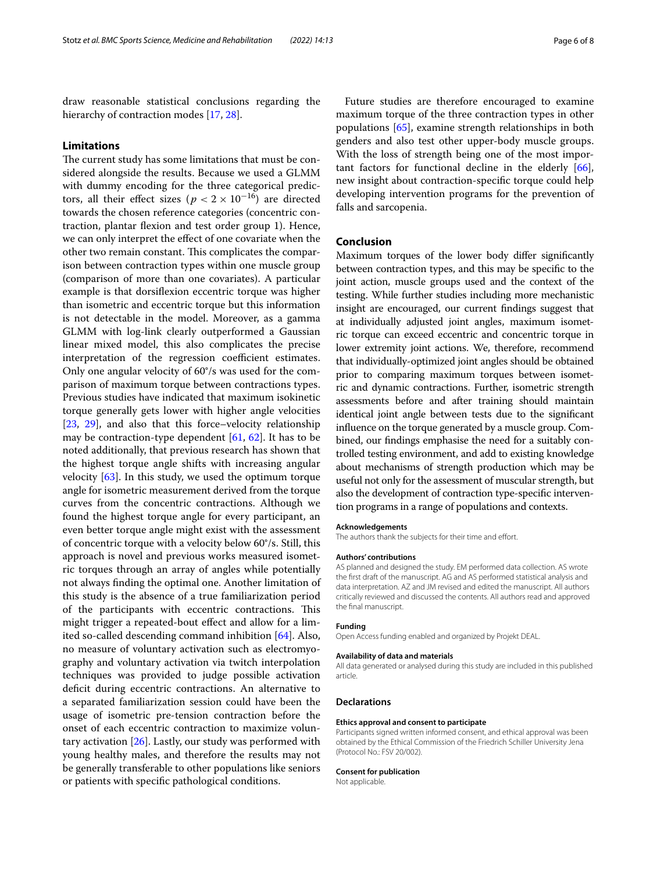draw reasonable statistical conclusions regarding the hierarchy of contraction modes [\[17,](#page-6-9) [28](#page-6-24)].

## **Limitations**

The current study has some limitations that must be considered alongside the results. Because we used a GLMM with dummy encoding for the three categorical predictors, all their effect sizes ( $p < 2 \times 10^{-16}$ ) are directed towards the chosen reference categories (concentric contraction, plantar fexion and test order group 1). Hence, we can only interpret the efect of one covariate when the other two remain constant. This complicates the comparison between contraction types within one muscle group (comparison of more than one covariates). A particular example is that dorsifexion eccentric torque was higher than isometric and eccentric torque but this information is not detectable in the model. Moreover, as a gamma GLMM with log-link clearly outperformed a Gaussian linear mixed model, this also complicates the precise interpretation of the regression coefficient estimates. Only one angular velocity of 60°/s was used for the comparison of maximum torque between contractions types. Previous studies have indicated that maximum isokinetic torque generally gets lower with higher angle velocities [[23,](#page-6-14) [29\]](#page-6-19), and also that this force–velocity relationship may be contraction-type dependent [[61](#page-7-23), [62](#page-7-24)]. It has to be noted additionally, that previous research has shown that the highest torque angle shifts with increasing angular velocity [[63](#page-7-25)]. In this study, we used the optimum torque angle for isometric measurement derived from the torque curves from the concentric contractions. Although we found the highest torque angle for every participant, an even better torque angle might exist with the assessment of concentric torque with a velocity below 60°/s. Still, this approach is novel and previous works measured isometric torques through an array of angles while potentially not always fnding the optimal one. Another limitation of this study is the absence of a true familiarization period of the participants with eccentric contractions. This might trigger a repeated-bout efect and allow for a limited so-called descending command inhibition [\[64\]](#page-7-26). Also, no measure of voluntary activation such as electromyography and voluntary activation via twitch interpolation techniques was provided to judge possible activation deficit during eccentric contractions. An alternative to a separated familiarization session could have been the usage of isometric pre-tension contraction before the onset of each eccentric contraction to maximize voluntary activation [\[26](#page-6-17)]. Lastly, our study was performed with young healthy males, and therefore the results may not be generally transferable to other populations like seniors or patients with specifc pathological conditions.

Future studies are therefore encouraged to examine maximum torque of the three contraction types in other populations [\[65](#page-7-27)], examine strength relationships in both genders and also test other upper-body muscle groups. With the loss of strength being one of the most important factors for functional decline in the elderly [\[66](#page-7-28)], new insight about contraction-specifc torque could help developing intervention programs for the prevention of falls and sarcopenia.

## **Conclusion**

Maximum torques of the lower body difer signifcantly between contraction types, and this may be specifc to the joint action, muscle groups used and the context of the testing. While further studies including more mechanistic insight are encouraged, our current fndings suggest that at individually adjusted joint angles, maximum isometric torque can exceed eccentric and concentric torque in lower extremity joint actions. We, therefore, recommend that individually-optimized joint angles should be obtained prior to comparing maximum torques between isometric and dynamic contractions. Further, isometric strength assessments before and after training should maintain identical joint angle between tests due to the signifcant infuence on the torque generated by a muscle group. Combined, our fndings emphasise the need for a suitably controlled testing environment, and add to existing knowledge about mechanisms of strength production which may be useful not only for the assessment of muscular strength, but also the development of contraction type-specifc intervention programs in a range of populations and contexts.

#### **Acknowledgements**

The authors thank the subjects for their time and effort.

#### **Authors' contributions**

AS planned and designed the study. EM performed data collection. AS wrote the frst draft of the manuscript. AG and AS performed statistical analysis and data interpretation. AZ and JM revised and edited the manuscript. All authors critically reviewed and discussed the contents. All authors read and approved the fnal manuscript.

#### **Funding**

Open Access funding enabled and organized by Projekt DEAL.

#### **Availability of data and materials**

All data generated or analysed during this study are included in this published article.

#### **Declarations**

#### **Ethics approval and consent to participate**

Participants signed written informed consent, and ethical approval was been obtained by the Ethical Commission of the Friedrich Schiller University Jena (Protocol No.: FSV 20/002).

#### **Consent for publication**

Not applicable.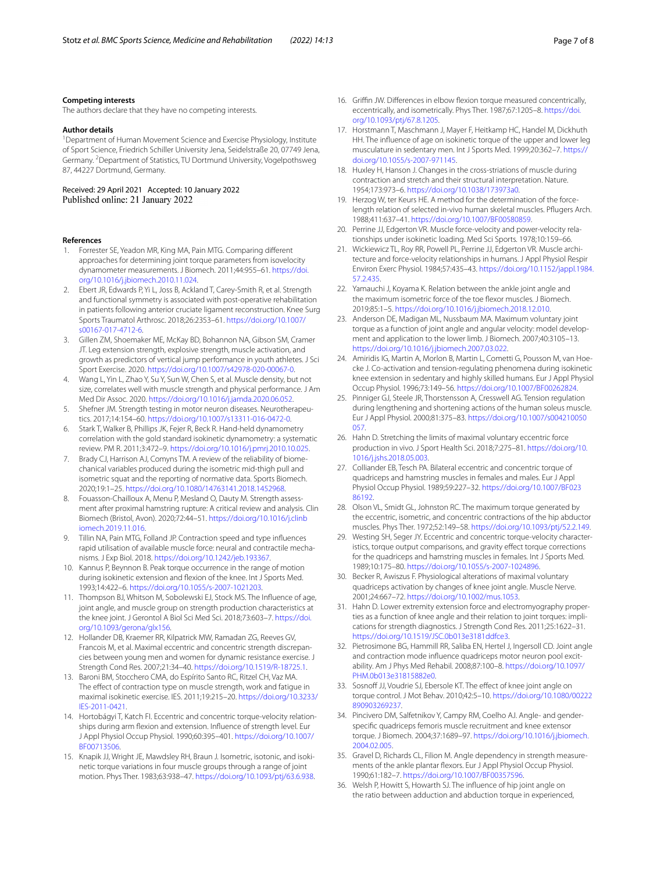#### **Competing interests**

The authors declare that they have no competing interests.

#### **Author details**

<sup>1</sup> Department of Human Movement Science and Exercise Physiology, Institute of Sport Science, Friedrich Schiller University Jena, Seidelstraße 20, 07749 Jena, Germany.<sup>2</sup> Department of Statistics, TU Dortmund University, Vogelpothsweg 87, 44227 Dortmund, Germany.

Received: 29 April 2021 Accepted: 10 January 2022 Published online: 21 January 2022

#### **References**

- <span id="page-6-0"></span>1. Forrester SE, Yeadon MR, King MA, Pain MTG. Comparing diferent approaches for determining joint torque parameters from isovelocity dynamometer measurements. J Biomech. 2011;44:955–61. [https://doi.](https://doi.org/10.1016/j.jbiomech.2010.11.024) [org/10.1016/j.jbiomech.2010.11.024.](https://doi.org/10.1016/j.jbiomech.2010.11.024)
- 2. Ebert JR, Edwards P, Yi L, Joss B, Ackland T, Carey-Smith R, et al. Strength and functional symmetry is associated with post-operative rehabilitation in patients following anterior cruciate ligament reconstruction. Knee Surg Sports Traumatol Arthrosc. 2018;26:2353–61. [https://doi.org/10.1007/](https://doi.org/10.1007/s00167-017-4712-6) [s00167-017-4712-6.](https://doi.org/10.1007/s00167-017-4712-6)
- 3. Gillen ZM, Shoemaker ME, McKay BD, Bohannon NA, Gibson SM, Cramer JT. Leg extension strength, explosive strength, muscle activation, and growth as predictors of vertical jump performance in youth athletes. J Sci Sport Exercise. 2020. <https://doi.org/10.1007/s42978-020-00067-0>.
- <span id="page-6-1"></span>4. Wang L, Yin L, Zhao Y, Su Y, Sun W, Chen S, et al. Muscle density, but not size, correlates well with muscle strength and physical performance. J Am Med Dir Assoc. 2020. <https://doi.org/10.1016/j.jamda.2020.06.052>.
- <span id="page-6-2"></span>5. Shefner JM. Strength testing in motor neuron diseases. Neurotherapeutics. 2017;14:154–60.<https://doi.org/10.1007/s13311-016-0472-0>.
- 6. Stark T, Walker B, Phillips JK, Fejer R, Beck R. Hand-held dynamometry correlation with the gold standard isokinetic dynamometry: a systematic review. PM R. 2011;3:472–9. [https://doi.org/10.1016/j.pmrj.2010.10.025.](https://doi.org/10.1016/j.pmrj.2010.10.025)
- 7. Brady CJ, Harrison AJ, Comyns TM. A review of the reliability of biomechanical variables produced during the isometric mid-thigh pull and isometric squat and the reporting of normative data. Sports Biomech. 2020;19:1–25. [https://doi.org/10.1080/14763141.2018.1452968.](https://doi.org/10.1080/14763141.2018.1452968)
- <span id="page-6-3"></span>8. Fouasson-Chailloux A, Menu P, Mesland O, Dauty M. Strength assessment after proximal hamstring rupture: A critical review and analysis. Clin Biomech (Bristol, Avon). 2020;72:44–51. [https://doi.org/10.1016/j.clinb](https://doi.org/10.1016/j.clinbiomech.2019.11.016) [iomech.2019.11.016](https://doi.org/10.1016/j.clinbiomech.2019.11.016).
- <span id="page-6-5"></span>9. Tillin NA, Pain MTG, Folland JP. Contraction speed and type infuences rapid utilisation of available muscle force: neural and contractile mechanisms. J Exp Biol. 2018. <https://doi.org/10.1242/jeb.193367>.
- 10. Kannus P, Beynnon B. Peak torque occurrence in the range of motion during isokinetic extension and fexion of the knee. Int J Sports Med. 1993;14:422–6. [https://doi.org/10.1055/s-2007-1021203.](https://doi.org/10.1055/s-2007-1021203)
- <span id="page-6-12"></span>11. Thompson BJ, Whitson M, Sobolewski EJ, Stock MS. The Infuence of age, joint angle, and muscle group on strength production characteristics at the knee joint. J Gerontol A Biol Sci Med Sci. 2018;73:603–7. [https://doi.](https://doi.org/10.1093/gerona/glx156) [org/10.1093/gerona/glx156](https://doi.org/10.1093/gerona/glx156).
- <span id="page-6-4"></span>12. Hollander DB, Kraemer RR, Kilpatrick MW, Ramadan ZG, Reeves GV, Francois M, et al. Maximal eccentric and concentric strength discrepancies between young men and women for dynamic resistance exercise. J Strength Cond Res. 2007;21:34–40.<https://doi.org/10.1519/R-18725.1>.
- <span id="page-6-6"></span>13. Baroni BM, Stocchero CMA, do Espírito Santo RC, Ritzel CH, Vaz MA. The effect of contraction type on muscle strength, work and fatigue in maximal isokinetic exercise. IES. 2011;19:215–20. [https://doi.org/10.3233/](https://doi.org/10.3233/IES-2011-0421) [IES-2011-0421](https://doi.org/10.3233/IES-2011-0421).
- <span id="page-6-7"></span>14. Hortobágyi T, Katch FI. Eccentric and concentric torque-velocity relationships during arm fexion and extension. Infuence of strength level. Eur J Appl Physiol Occup Physiol. 1990;60:395–401. [https://doi.org/10.1007/](https://doi.org/10.1007/BF00713506) [BF00713506](https://doi.org/10.1007/BF00713506).
- <span id="page-6-8"></span>15. Knapik JJ, Wright JE, Mawdsley RH, Braun J. Isometric, isotonic, and isokinetic torque variations in four muscle groups through a range of joint motion. Phys Ther. 1983;63:938–47.<https://doi.org/10.1093/ptj/63.6.938>.
- 16. Griffin JW. Differences in elbow flexion torque measured concentrically, eccentrically, and isometrically. Phys Ther. 1987;67:1205–8. [https://doi.](https://doi.org/10.1093/ptj/67.8.1205) [org/10.1093/ptj/67.8.1205](https://doi.org/10.1093/ptj/67.8.1205).
- <span id="page-6-9"></span>17. Horstmann T, Maschmann J, Mayer F, Heitkamp HC, Handel M, Dickhuth HH. The infuence of age on isokinetic torque of the upper and lower leg musculature in sedentary men. Int J Sports Med. 1999;20:362–7. [https://](https://doi.org/10.1055/s-2007-971145) [doi.org/10.1055/s-2007-971145](https://doi.org/10.1055/s-2007-971145).
- <span id="page-6-10"></span>18. Huxley H, Hanson J. Changes in the cross-striations of muscle during contraction and stretch and their structural interpretation. Nature. 1954;173:973–6.<https://doi.org/10.1038/173973a0>.
- <span id="page-6-11"></span>19. Herzog W, ter Keurs HE. A method for the determination of the forcelength relation of selected in-vivo human skeletal muscles. Pfugers Arch. 1988;411:637–41. <https://doi.org/10.1007/BF00580859>.
- <span id="page-6-13"></span>20. Perrine JJ, Edgerton VR. Muscle force-velocity and power-velocity relationships under isokinetic loading. Med Sci Sports. 1978;10:159–66.
- 21. Wickiewicz TL, Roy RR, Powell PL, Perrine JJ, Edgerton VR. Muscle architecture and force-velocity relationships in humans. J Appl Physiol Respir Environ Exerc Physiol. 1984;57:435–43. [https://doi.org/10.1152/jappl.1984.](https://doi.org/10.1152/jappl.1984.57.2.435) [57.2.435](https://doi.org/10.1152/jappl.1984.57.2.435).
- 22. Yamauchi J, Koyama K. Relation between the ankle joint angle and the maximum isometric force of the toe fexor muscles. J Biomech. 2019;85:1–5.<https://doi.org/10.1016/j.jbiomech.2018.12.010>.
- <span id="page-6-14"></span>23. Anderson DE, Madigan ML, Nussbaum MA. Maximum voluntary joint torque as a function of joint angle and angular velocity: model development and application to the lower limb. J Biomech. 2007;40:3105–13. [https://doi.org/10.1016/j.jbiomech.2007.03.022.](https://doi.org/10.1016/j.jbiomech.2007.03.022)
- <span id="page-6-15"></span>24. Amiridis IG, Martin A, Morlon B, Martin L, Cometti G, Pousson M, van Hoecke J. Co-activation and tension-regulating phenomena during isokinetic knee extension in sedentary and highly skilled humans. Eur J Appl Physiol Occup Physiol. 1996;73:149–56. [https://doi.org/10.1007/BF00262824.](https://doi.org/10.1007/BF00262824)
- <span id="page-6-16"></span>25. Pinniger GJ, Steele JR, Thorstensson A, Cresswell AG. Tension regulation during lengthening and shortening actions of the human soleus muscle. Eur J Appl Physiol. 2000;81:375–83. [https://doi.org/10.1007/s004210050](https://doi.org/10.1007/s004210050057) [057.](https://doi.org/10.1007/s004210050057)
- <span id="page-6-17"></span>26. Hahn D. Stretching the limits of maximal voluntary eccentric force production in vivo. J Sport Health Sci. 2018;7:275–81. [https://doi.org/10.](https://doi.org/10.1016/j.jshs.2018.05.003) [1016/j.jshs.2018.05.003.](https://doi.org/10.1016/j.jshs.2018.05.003)
- <span id="page-6-18"></span>27. Colliander EB, Tesch PA. Bilateral eccentric and concentric torque of quadriceps and hamstring muscles in females and males. Eur J Appl Physiol Occup Physiol. 1989;59:227–32. [https://doi.org/10.1007/BF023](https://doi.org/10.1007/BF02386192) [86192](https://doi.org/10.1007/BF02386192).
- <span id="page-6-24"></span>28. Olson VL, Smidt GL, Johnston RC. The maximum torque generated by the eccentric, isometric, and concentric contractions of the hip abductor muscles. Phys Ther. 1972;52:149–58. [https://doi.org/10.1093/ptj/52.2.149.](https://doi.org/10.1093/ptj/52.2.149)
- <span id="page-6-19"></span>29. Westing SH, Seger JY. Eccentric and concentric torque-velocity characteristics, torque output comparisons, and gravity effect torque corrections for the quadriceps and hamstring muscles in females. Int J Sports Med. 1989;10:175–80. [https://doi.org/10.1055/s-2007-1024896.](https://doi.org/10.1055/s-2007-1024896)
- <span id="page-6-20"></span>30. Becker R, Awiszus F. Physiological alterations of maximal voluntary quadriceps activation by changes of knee joint angle. Muscle Nerve. 2001;24:667–72. [https://doi.org/10.1002/mus.1053.](https://doi.org/10.1002/mus.1053)
- 31. Hahn D. Lower extremity extension force and electromyography properties as a function of knee angle and their relation to joint torques: implications for strength diagnostics. J Strength Cond Res. 2011;25:1622–31. [https://doi.org/10.1519/JSC.0b013e3181ddfce3.](https://doi.org/10.1519/JSC.0b013e3181ddfce3)
- <span id="page-6-21"></span>32. Pietrosimone BG, Hammill RR, Saliba EN, Hertel J, Ingersoll CD. Joint angle and contraction mode infuence quadriceps motor neuron pool excitability. Am J Phys Med Rehabil. 2008;87:100–8. [https://doi.org/10.1097/](https://doi.org/10.1097/PHM.0b013e31815882e0) [PHM.0b013e31815882e0](https://doi.org/10.1097/PHM.0b013e31815882e0).
- <span id="page-6-22"></span>33. Sosnoff JJ, Voudrie SJ, Ebersole KT. The effect of knee joint angle on torque control. J Mot Behav. 2010;42:5–10. [https://doi.org/10.1080/00222](https://doi.org/10.1080/00222890903269237) [890903269237.](https://doi.org/10.1080/00222890903269237)
- 34. Pincivero DM, Salfetnikov Y, Campy RM, Coelho AJ. Angle- and genderspecifc quadriceps femoris muscle recruitment and knee extensor torque. J Biomech. 2004;37:1689–97. [https://doi.org/10.1016/j.jbiomech.](https://doi.org/10.1016/j.jbiomech.2004.02.005) [2004.02.005](https://doi.org/10.1016/j.jbiomech.2004.02.005).
- 35. Gravel D, Richards CL, Filion M. Angle dependency in strength measurements of the ankle plantar fexors. Eur J Appl Physiol Occup Physiol. 1990;61:182–7. <https://doi.org/10.1007/BF00357596>.
- <span id="page-6-23"></span>36. Welsh P, Howitt S, Howarth SJ. The infuence of hip joint angle on the ratio between adduction and abduction torque in experienced,